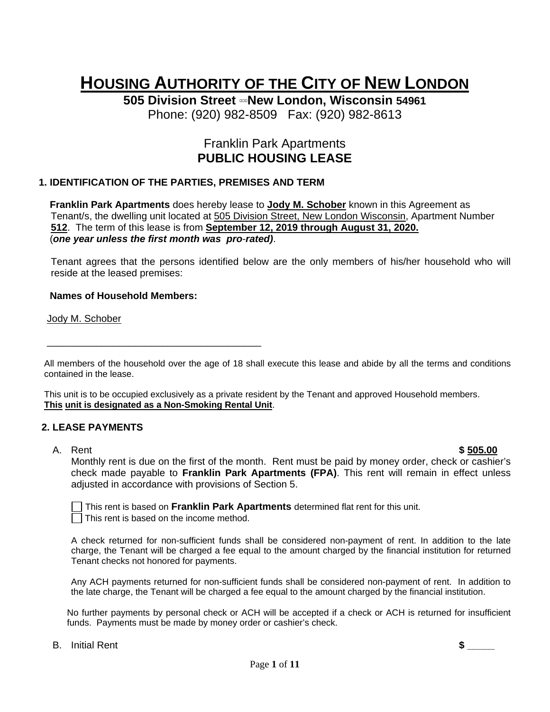# **HOUSING AUTHORITY OF THE CITY OF NEW LONDON**

**505 Division Street New London, Wisconsin 54961** Phone: (920) 982-8509 Fax: (920) 982-8613

# Franklin Park Apartments **PUBLIC HOUSING LEASE**

### **1. IDENTIFICATION OF THE PARTIES, PREMISES AND TERM**

 **Franklin Park Apartments** does hereby lease to **Jody M. Schober** known in this Agreement as Tenant/s, the dwelling unit located at 505 Division Street, New London Wisconsin, Apartment Number **512**. The term of this lease is from **September 12, 2019 through August 31, 2020.** (*one year unless the first month was pro*-*rated)*.

Tenant agrees that the persons identified below are the only members of his/her household who will reside at the leased premises:

#### **Names of Household Members:**

\_\_\_\_\_\_\_\_\_\_\_\_\_\_\_\_\_\_\_\_\_\_\_\_\_\_\_\_\_\_\_\_\_\_\_\_\_\_\_

Jody M. Schober

All members of the household over the age of 18 shall execute this lease and abide by all the terms and conditions contained in the lease.

This unit is to be occupied exclusively as a private resident by the Tenant and approved Household members. **This unit is designated as a Non-Smoking Rental Unit**.

#### **2. LEASE PAYMENTS**

A. Rent **\$ 505.00** Monthly rent is due on the first of the month. Rent must be paid by money order, check or cashier's check made payable to **Franklin Park Apartments (FPA)**. This rent will remain in effect unless adjusted in accordance with provisions of Section 5.

This rent is based on **Franklin Park Apartments** determined flat rent for this unit.

 $\Box$  This rent is based on the income method.

A check returned for non-sufficient funds shall be considered non-payment of rent. In addition to the late charge, the Tenant will be charged a fee equal to the amount charged by the financial institution for returned Tenant checks not honored for payments.

Any ACH payments returned for non-sufficient funds shall be considered non-payment of rent. In addition to the late charge, the Tenant will be charged a fee equal to the amount charged by the financial institution.

No further payments by personal check or ACH will be accepted if a check or ACH is returned for insufficient funds. Payments must be made by money order or cashier's check.

B. Initial Rent **\$ \_\_\_\_\_**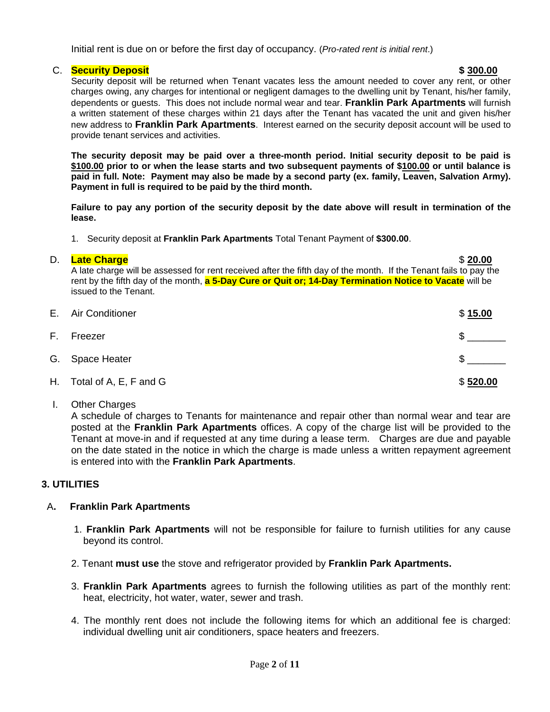Initial rent is due on or before the first day of occupancy. (*Pro-rated rent is initial rent*.)

### C. **Security Deposit \$ 300.00**

Security deposit will be returned when Tenant vacates less the amount needed to cover any rent, or other charges owing, any charges for intentional or negligent damages to the dwelling unit by Tenant, his/her family, dependents or guests. This does not include normal wear and tear. **Franklin Park Apartments** will furnish a written statement of these charges within 21 days after the Tenant has vacated the unit and given his/her new address to **Franklin Park Apartments**. Interest earned on the security deposit account will be used to provide tenant services and activities.

**The security deposit may be paid over a three-month period. Initial security deposit to be paid is \$100.00 prior to or when the lease starts and two subsequent payments of \$100.00 or until balance is paid in full. Note: Payment may also be made by a second party (ex. family, Leaven, Salvation Army). Payment in full is required to be paid by the third month.**

**Failure to pay any portion of the security deposit by the date above will result in termination of the lease.**

1. Security deposit at **Franklin Park Apartments** Total Tenant Payment of **\$300.00**.

# D. **Late Charge** \$ **20.00** A late charge will be assessed for rent received after the fifth day of the month. If the Tenant fails to pay the rent by the fifth day of the month, **a 5-Day Cure or Quit or; 14-Day Termination Notice to Vacate** will be issued to the Tenant. E. Air Conditioner **\$ 15.00** F. Freezer  $\texttt{\$}$ G. Space Heater  $\frac{1}{2}$ H. Total of A, E, F and G  $$ 520.00$

I. Other Charges

A schedule of charges to Tenants for maintenance and repair other than normal wear and tear are posted at the **Franklin Park Apartments** offices. A copy of the charge list will be provided to the Tenant at move-in and if requested at any time during a lease term. Charges are due and payable on the date stated in the notice in which the charge is made unless a written repayment agreement is entered into with the **Franklin Park Apartments**.

# **3. UTILITIES**

#### A**. Franklin Park Apartments**

- 1. **Franklin Park Apartments** will not be responsible for failure to furnish utilities for any cause beyond its control.
- 2. Tenant **must use** the stove and refrigerator provided by **Franklin Park Apartments.**
- 3. **Franklin Park Apartments** agrees to furnish the following utilities as part of the monthly rent: heat, electricity, hot water, water, sewer and trash.
- 4. The monthly rent does not include the following items for which an additional fee is charged: individual dwelling unit air conditioners, space heaters and freezers.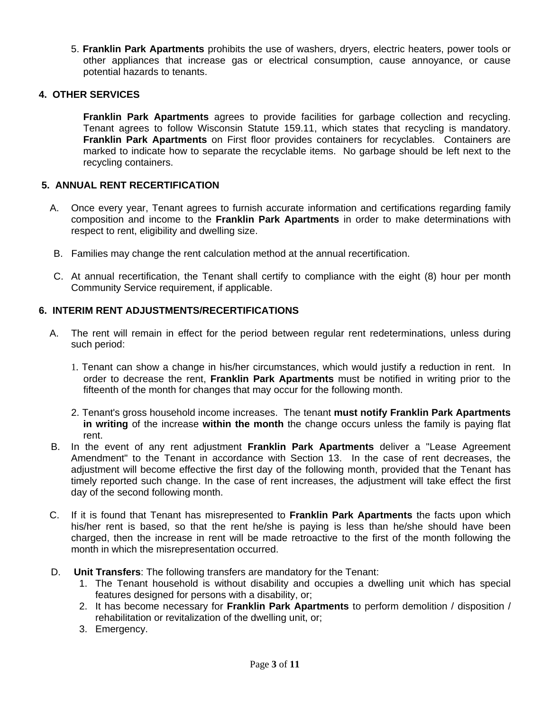5. **Franklin Park Apartments** prohibits the use of washers, dryers, electric heaters, power tools or other appliances that increase gas or electrical consumption, cause annoyance, or cause potential hazards to tenants.

#### **4. OTHER SERVICES**

**Franklin Park Apartments** agrees to provide facilities for garbage collection and recycling. Tenant agrees to follow Wisconsin Statute 159.11, which states that recycling is mandatory. **Franklin Park Apartments** on First floor provides containers for recyclables. Containers are marked to indicate how to separate the recyclable items. No garbage should be left next to the recycling containers.

#### **5. ANNUAL RENT RECERTIFICATION**

- A. Once every year, Tenant agrees to furnish accurate information and certifications regarding family composition and income to the **Franklin Park Apartments** in order to make determinations with respect to rent, eligibility and dwelling size.
- B. Families may change the rent calculation method at the annual recertification.
- C. At annual recertification, the Tenant shall certify to compliance with the eight (8) hour per month Community Service requirement, if applicable.

#### **6. INTERIM RENT ADJUSTMENTS/RECERTIFICATIONS**

- A. The rent will remain in effect for the period between regular rent redeterminations, unless during such period:
	- 1. Tenant can show a change in his/her circumstances, which would justify a reduction in rent. In order to decrease the rent, **Franklin Park Apartments** must be notified in writing prior to the fifteenth of the month for changes that may occur for the following month.
	- 2. Tenant's gross household income increases. The tenant **must notify Franklin Park Apartments in writing** of the increase **within the month** the change occurs unless the family is paying flat rent.
- B. In the event of any rent adjustment **Franklin Park Apartments** deliver a "Lease Agreement Amendment" to the Tenant in accordance with Section 13. In the case of rent decreases, the adjustment will become effective the first day of the following month, provided that the Tenant has timely reported such change. In the case of rent increases, the adjustment will take effect the first day of the second following month.
- C. If it is found that Tenant has misrepresented to **Franklin Park Apartments** the facts upon which his/her rent is based, so that the rent he/she is paying is less than he/she should have been charged, then the increase in rent will be made retroactive to the first of the month following the month in which the misrepresentation occurred.
- D. **Unit Transfers**: The following transfers are mandatory for the Tenant:
	- 1. The Tenant household is without disability and occupies a dwelling unit which has special features designed for persons with a disability, or;
	- 2. It has become necessary for **Franklin Park Apartments** to perform demolition / disposition / rehabilitation or revitalization of the dwelling unit, or;
	- 3. Emergency.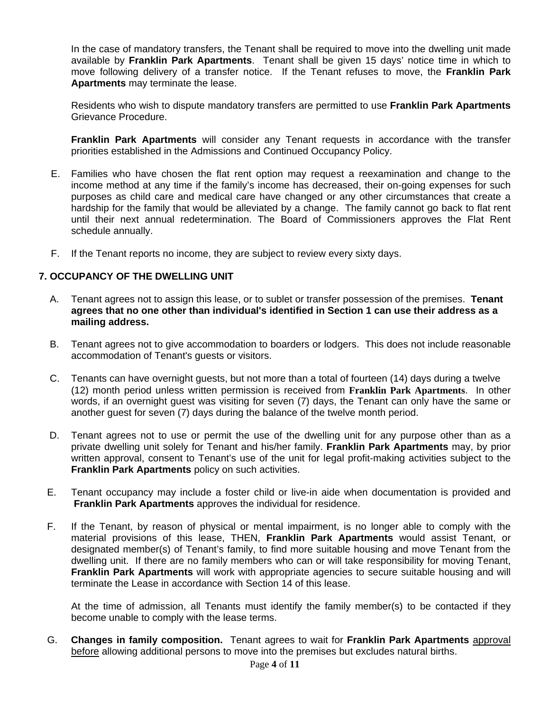In the case of mandatory transfers, the Tenant shall be required to move into the dwelling unit made available by **Franklin Park Apartments**. Tenant shall be given 15 days' notice time in which to move following delivery of a transfer notice. If the Tenant refuses to move, the **Franklin Park Apartments** may terminate the lease.

Residents who wish to dispute mandatory transfers are permitted to use **Franklin Park Apartments** Grievance Procedure.

**Franklin Park Apartments** will consider any Tenant requests in accordance with the transfer priorities established in the Admissions and Continued Occupancy Policy.

- E. Families who have chosen the flat rent option may request a reexamination and change to the income method at any time if the family's income has decreased, their on-going expenses for such purposes as child care and medical care have changed or any other circumstances that create a hardship for the family that would be alleviated by a change. The family cannot go back to flat rent until their next annual redetermination. The Board of Commissioners approves the Flat Rent schedule annually.
- F. If the Tenant reports no income, they are subject to review every sixty days.

#### **7. OCCUPANCY OF THE DWELLING UNIT**

- A. Tenant agrees not to assign this lease, or to sublet or transfer possession of the premises. **Tenant agrees that no one other than individual's identified in Section 1 can use their address as a mailing address.**
- B. Tenant agrees not to give accommodation to boarders or lodgers. This does not include reasonable accommodation of Tenant's guests or visitors.
- C. Tenants can have overnight guests, but not more than a total of fourteen (14) days during a twelve (12) month period unless written permission is received from **Franklin Park Apartments**. In other words, if an overnight guest was visiting for seven (7) days, the Tenant can only have the same or another guest for seven (7) days during the balance of the twelve month period.
- D. Tenant agrees not to use or permit the use of the dwelling unit for any purpose other than as a private dwelling unit solely for Tenant and his/her family. **Franklin Park Apartments** may, by prior written approval, consent to Tenant's use of the unit for legal profit-making activities subject to the **Franklin Park Apartments** policy on such activities.
- E. Tenant occupancy may include a foster child or live-in aide when documentation is provided and **Franklin Park Apartments** approves the individual for residence.
- F. If the Tenant, by reason of physical or mental impairment, is no longer able to comply with the material provisions of this lease, THEN, **Franklin Park Apartments** would assist Tenant, or designated member(s) of Tenant's family, to find more suitable housing and move Tenant from the dwelling unit. If there are no family members who can or will take responsibility for moving Tenant, **Franklin Park Apartments** will work with appropriate agencies to secure suitable housing and will terminate the Lease in accordance with Section 14 of this lease.

At the time of admission, all Tenants must identify the family member(s) to be contacted if they become unable to comply with the lease terms.

G. **Changes in family composition.** Tenant agrees to wait for **Franklin Park Apartments** approval before allowing additional persons to move into the premises but excludes natural births.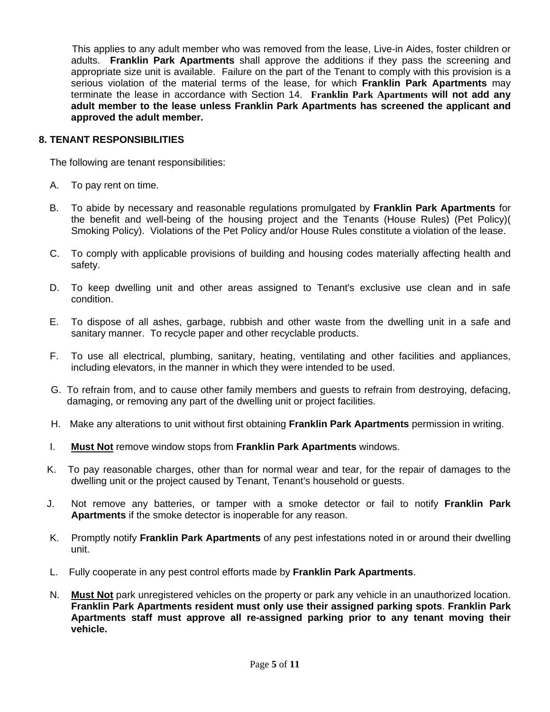This applies to any adult member who was removed from the lease, Live-in Aides, foster children or adults. **Franklin Park Apartments** shall approve the additions if they pass the screening and appropriate size unit is available. Failure on the part of the Tenant to comply with this provision is a serious violation of the material terms of the lease, for which **Franklin Park Apartments** may terminate the lease in accordance with Section 14. **Franklin Park Apartments will not add any adult member to the lease unless Franklin Park Apartments has screened the applicant and approved the adult member.** 

#### **8. TENANT RESPONSIBILITIES**

The following are tenant responsibilities:

- A. To pay rent on time.
- B. To abide by necessary and reasonable regulations promulgated by **Franklin Park Apartments** for the benefit and well-being of the housing project and the Tenants (House Rules) (Pet Policy)( Smoking Policy). Violations of the Pet Policy and/or House Rules constitute a violation of the lease.
- C. To comply with applicable provisions of building and housing codes materially affecting health and safety.
- D. To keep dwelling unit and other areas assigned to Tenant's exclusive use clean and in safe condition.
- E. To dispose of all ashes, garbage, rubbish and other waste from the dwelling unit in a safe and sanitary manner. To recycle paper and other recyclable products.
- F. To use all electrical, plumbing, sanitary, heating, ventilating and other facilities and appliances, including elevators, in the manner in which they were intended to be used.
- G. To refrain from, and to cause other family members and guests to refrain from destroying, defacing, damaging, or removing any part of the dwelling unit or project facilities.
- H. Make any alterations to unit without first obtaining **Franklin Park Apartments** permission in writing.
- I. **Must Not** remove window stops from **Franklin Park Apartments** windows.
- K. To pay reasonable charges, other than for normal wear and tear, for the repair of damages to the dwelling unit or the project caused by Tenant, Tenant's household or guests.
- J. Not remove any batteries, or tamper with a smoke detector or fail to notify **Franklin Park Apartments** if the smoke detector is inoperable for any reason.
- K. Promptly notify **Franklin Park Apartments** of any pest infestations noted in or around their dwelling unit.
- L. Fully cooperate in any pest control efforts made by **Franklin Park Apartments**.
- N. **Must Not** park unregistered vehicles on the property or park any vehicle in an unauthorized location. **Franklin Park Apartments resident must only use their assigned parking spots**. **Franklin Park Apartments staff must approve all re-assigned parking prior to any tenant moving their vehicle.**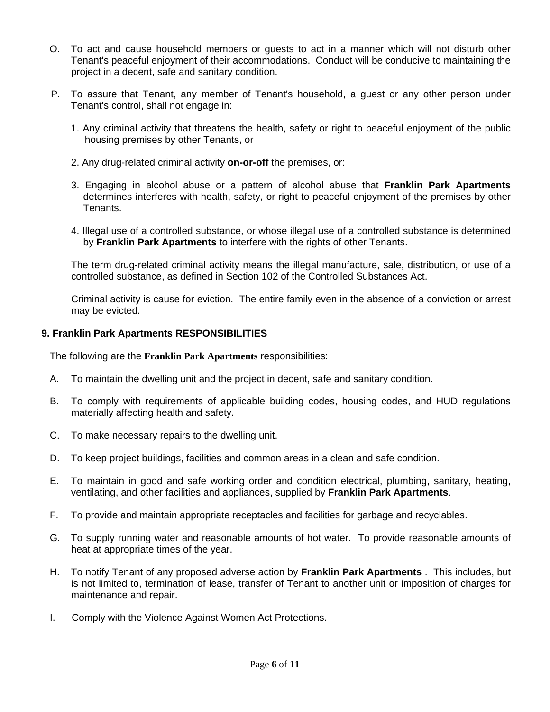- O. To act and cause household members or guests to act in a manner which will not disturb other Tenant's peaceful enjoyment of their accommodations. Conduct will be conducive to maintaining the project in a decent, safe and sanitary condition.
- P. To assure that Tenant, any member of Tenant's household, a guest or any other person under Tenant's control, shall not engage in:
	- 1. Any criminal activity that threatens the health, safety or right to peaceful enjoyment of the public housing premises by other Tenants, or
	- 2. Any drug-related criminal activity **on-or-off** the premises, or:
	- 3. Engaging in alcohol abuse or a pattern of alcohol abuse that **Franklin Park Apartments** determines interferes with health, safety, or right to peaceful enjoyment of the premises by other Tenants.
	- 4. Illegal use of a controlled substance, or whose illegal use of a controlled substance is determined by **Franklin Park Apartments** to interfere with the rights of other Tenants.

The term drug-related criminal activity means the illegal manufacture, sale, distribution, or use of a controlled substance, as defined in Section 102 of the Controlled Substances Act.

Criminal activity is cause for eviction. The entire family even in the absence of a conviction or arrest may be evicted.

#### **9. Franklin Park Apartments RESPONSIBILITIES**

The following are the **Franklin Park Apartments** responsibilities:

- A. To maintain the dwelling unit and the project in decent, safe and sanitary condition.
- B. To comply with requirements of applicable building codes, housing codes, and HUD regulations materially affecting health and safety.
- C. To make necessary repairs to the dwelling unit.
- D. To keep project buildings, facilities and common areas in a clean and safe condition.
- E. To maintain in good and safe working order and condition electrical, plumbing, sanitary, heating, ventilating, and other facilities and appliances, supplied by **Franklin Park Apartments**.
- F. To provide and maintain appropriate receptacles and facilities for garbage and recyclables.
- G. To supply running water and reasonable amounts of hot water. To provide reasonable amounts of heat at appropriate times of the year.
- H. To notify Tenant of any proposed adverse action by **Franklin Park Apartments** . This includes, but is not limited to, termination of lease, transfer of Tenant to another unit or imposition of charges for maintenance and repair.
- I. Comply with the Violence Against Women Act Protections.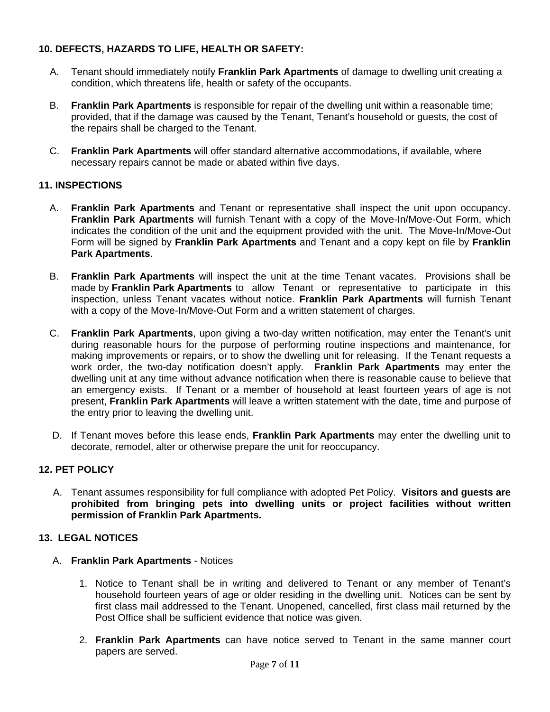# **10. DEFECTS, HAZARDS TO LIFE, HEALTH OR SAFETY:**

- A. Tenant should immediately notify **Franklin Park Apartments** of damage to dwelling unit creating a condition, which threatens life, health or safety of the occupants.
- B. **Franklin Park Apartments** is responsible for repair of the dwelling unit within a reasonable time; provided, that if the damage was caused by the Tenant, Tenant's household or guests, the cost of the repairs shall be charged to the Tenant.
- C. **Franklin Park Apartments** will offer standard alternative accommodations, if available, where necessary repairs cannot be made or abated within five days.

# **11. INSPECTIONS**

- A. **Franklin Park Apartments** and Tenant or representative shall inspect the unit upon occupancy. **Franklin Park Apartments** will furnish Tenant with a copy of the Move-In/Move-Out Form, which indicates the condition of the unit and the equipment provided with the unit. The Move-In/Move-Out Form will be signed by **Franklin Park Apartments** and Tenant and a copy kept on file by **Franklin Park Apartments**.
- B. **Franklin Park Apartments** will inspect the unit at the time Tenant vacates. Provisions shall be made by **Franklin Park Apartments** to allow Tenant or representative to participate in this inspection, unless Tenant vacates without notice. **Franklin Park Apartments** will furnish Tenant with a copy of the Move-In/Move-Out Form and a written statement of charges.
- C. **Franklin Park Apartments**, upon giving a two-day written notification, may enter the Tenant's unit during reasonable hours for the purpose of performing routine inspections and maintenance, for making improvements or repairs, or to show the dwelling unit for releasing. If the Tenant requests a work order, the two-day notification doesn't apply. **Franklin Park Apartments** may enter the dwelling unit at any time without advance notification when there is reasonable cause to believe that an emergency exists. If Tenant or a member of household at least fourteen years of age is not present, **Franklin Park Apartments** will leave a written statement with the date, time and purpose of the entry prior to leaving the dwelling unit.
- D. If Tenant moves before this lease ends, **Franklin Park Apartments** may enter the dwelling unit to decorate, remodel, alter or otherwise prepare the unit for reoccupancy.

# **12. PET POLICY**

A. Tenant assumes responsibility for full compliance with adopted Pet Policy. **Visitors and guests are prohibited from bringing pets into dwelling units or project facilities without written permission of Franklin Park Apartments.** 

# **13. LEGAL NOTICES**

- A. **Franklin Park Apartments** Notices
	- 1. Notice to Tenant shall be in writing and delivered to Tenant or any member of Tenant's household fourteen years of age or older residing in the dwelling unit. Notices can be sent by first class mail addressed to the Tenant. Unopened, cancelled, first class mail returned by the Post Office shall be sufficient evidence that notice was given.
	- 2. **Franklin Park Apartments** can have notice served to Tenant in the same manner court papers are served.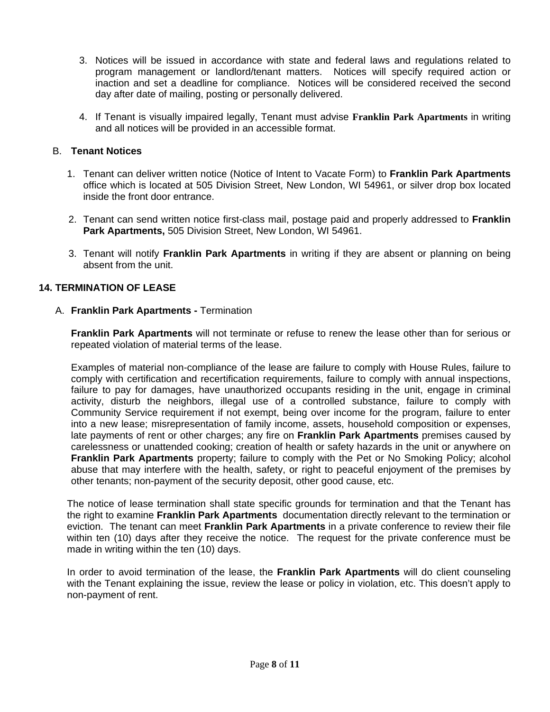- 3. Notices will be issued in accordance with state and federal laws and regulations related to program management or landlord/tenant matters. Notices will specify required action or inaction and set a deadline for compliance. Notices will be considered received the second day after date of mailing, posting or personally delivered.
- 4. If Tenant is visually impaired legally, Tenant must advise **Franklin Park Apartments** in writing and all notices will be provided in an accessible format.

### B. **Tenant Notices**

- 1. Tenant can deliver written notice (Notice of Intent to Vacate Form) to **Franklin Park Apartments** office which is located at 505 Division Street, New London, WI 54961, or silver drop box located inside the front door entrance.
- 2. Tenant can send written notice first-class mail, postage paid and properly addressed to **Franklin Park Apartments,** 505 Division Street, New London, WI 54961.
- 3. Tenant will notify **Franklin Park Apartments** in writing if they are absent or planning on being absent from the unit.

#### **14. TERMINATION OF LEASE**

#### A. **Franklin Park Apartments -** Termination

**Franklin Park Apartments** will not terminate or refuse to renew the lease other than for serious or repeated violation of material terms of the lease.

Examples of material non-compliance of the lease are failure to comply with House Rules, failure to comply with certification and recertification requirements, failure to comply with annual inspections, failure to pay for damages, have unauthorized occupants residing in the unit, engage in criminal activity, disturb the neighbors, illegal use of a controlled substance, failure to comply with Community Service requirement if not exempt, being over income for the program, failure to enter into a new lease; misrepresentation of family income, assets, household composition or expenses, late payments of rent or other charges; any fire on **Franklin Park Apartments** premises caused by carelessness or unattended cooking; creation of health or safety hazards in the unit or anywhere on **Franklin Park Apartments** property; failure to comply with the Pet or No Smoking Policy; alcohol abuse that may interfere with the health, safety, or right to peaceful enjoyment of the premises by other tenants; non-payment of the security deposit, other good cause, etc.

The notice of lease termination shall state specific grounds for termination and that the Tenant has the right to examine **Franklin Park Apartments** documentation directly relevant to the termination or eviction. The tenant can meet **Franklin Park Apartments** in a private conference to review their file within ten (10) days after they receive the notice. The request for the private conference must be made in writing within the ten (10) days.

In order to avoid termination of the lease, the **Franklin Park Apartments** will do client counseling with the Tenant explaining the issue, review the lease or policy in violation, etc. This doesn't apply to non-payment of rent.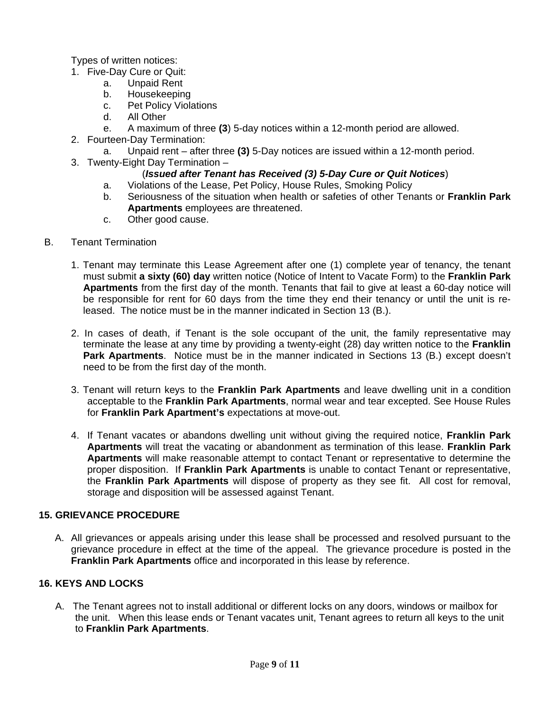Types of written notices:

- 1. Five-Day Cure or Quit:
	- a. Unpaid Rent
	- b. Housekeeping
	- c. Pet Policy Violations
	- d. All Other
	- e. A maximum of three **(3**) 5-day notices within a 12-month period are allowed.
- 2. Fourteen-Day Termination:
	- a. Unpaid rent after three **(3)** 5-Day notices are issued within a 12-month period.
- 3. Twenty-Eight Day Termination –

# (*Issued after Tenant has Received (3) 5-Day Cure or Quit Notices*)

- a. Violations of the Lease, Pet Policy, House Rules, Smoking Policy
- b. Seriousness of the situation when health or safeties of other Tenants or **Franklin Park Apartments** employees are threatened.
- c. Other good cause.
- B. Tenant Termination
	- 1. Tenant may terminate this Lease Agreement after one (1) complete year of tenancy, the tenant must submit **a sixty (60) day** written notice (Notice of Intent to Vacate Form) to the **Franklin Park Apartments** from the first day of the month. Tenants that fail to give at least a 60-day notice will be responsible for rent for 60 days from the time they end their tenancy or until the unit is released. The notice must be in the manner indicated in Section 13 (B.).
	- 2. In cases of death, if Tenant is the sole occupant of the unit, the family representative may terminate the lease at any time by providing a twenty-eight (28) day written notice to the **Franklin Park Apartments**. Notice must be in the manner indicated in Sections 13 (B.) except doesn't need to be from the first day of the month.
	- 3. Tenant will return keys to the **Franklin Park Apartments** and leave dwelling unit in a condition acceptable to the **Franklin Park Apartments**, normal wear and tear excepted. See House Rules for **Franklin Park Apartment's** expectations at move-out.
	- 4. If Tenant vacates or abandons dwelling unit without giving the required notice, **Franklin Park Apartments** will treat the vacating or abandonment as termination of this lease. **Franklin Park Apartments** will make reasonable attempt to contact Tenant or representative to determine the proper disposition. If **Franklin Park Apartments** is unable to contact Tenant or representative, the **Franklin Park Apartments** will dispose of property as they see fit. All cost for removal, storage and disposition will be assessed against Tenant.

# **15. GRIEVANCE PROCEDURE**

A. All grievances or appeals arising under this lease shall be processed and resolved pursuant to the grievance procedure in effect at the time of the appeal. The grievance procedure is posted in the **Franklin Park Apartments** office and incorporated in this lease by reference.

# **16. KEYS AND LOCKS**

 A. The Tenant agrees not to install additional or different locks on any doors, windows or mailbox for the unit. When this lease ends or Tenant vacates unit, Tenant agrees to return all keys to the unit to **Franklin Park Apartments**.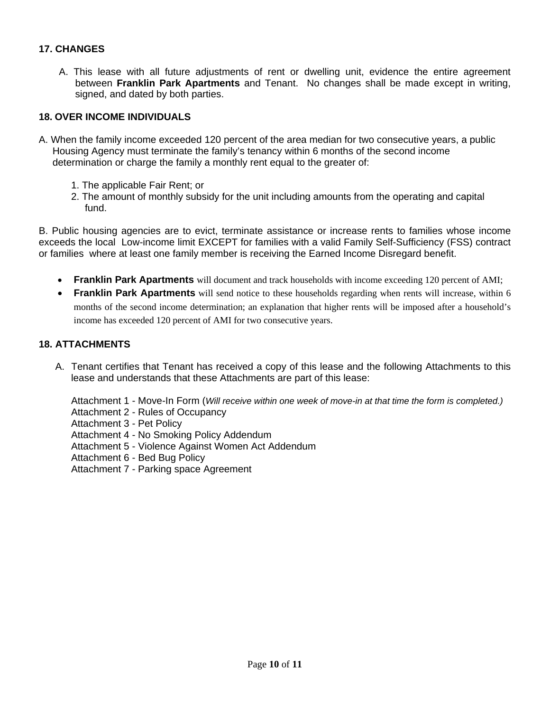### **17. CHANGES**

A. This lease with all future adjustments of rent or dwelling unit, evidence the entire agreement between **Franklin Park Apartments** and Tenant. No changes shall be made except in writing, signed, and dated by both parties.

#### **18. OVER INCOME INDIVIDUALS**

- A. When the family income exceeded 120 percent of the area median for two consecutive years, a public Housing Agency must terminate the family's tenancy within 6 months of the second income determination or charge the family a monthly rent equal to the greater of:
	- 1. The applicable Fair Rent; or
	- 2. The amount of monthly subsidy for the unit including amounts from the operating and capital fund.

B. Public housing agencies are to evict, terminate assistance or increase rents to families whose income exceeds the local Low-income limit EXCEPT for families with a valid Family Self-Sufficiency (FSS) contract or families where at least one family member is receiving the Earned Income Disregard benefit.

- **Franklin Park Apartments** will document and track households with income exceeding 120 percent of AMI;
- **Franklin Park Apartments** will send notice to these households regarding when rents will increase, within 6 months of the second income determination; an explanation that higher rents will be imposed after a household's income has exceeded 120 percent of AMI for two consecutive years.

#### **18. ATTACHMENTS**

 A. Tenant certifies that Tenant has received a copy of this lease and the following Attachments to this lease and understands that these Attachments are part of this lease:

 Attachment 1 - Move-In Form (*Will receive within one week of move-in at that time the form is completed.)* Attachment 2 - Rules of Occupancy

Attachment 3 - Pet Policy

Attachment 4 - No Smoking Policy Addendum

- Attachment 5 Violence Against Women Act Addendum
- Attachment 6 Bed Bug Policy

Attachment 7 - Parking space Agreement